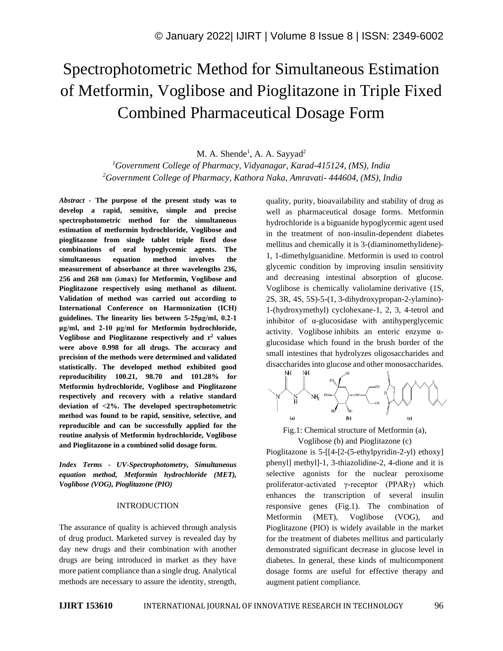# Spectrophotometric Method for Simultaneous Estimation of Metformin, Voglibose and Pioglitazone in Triple Fixed Combined Pharmaceutical Dosage Form

M. A. Shende<sup>1</sup>, A. A. Sayyad<sup>2</sup>

*<sup>1</sup>Government College of Pharmacy, Vidyanagar, Karad-415124, (MS), India <sup>2</sup>Government College of Pharmacy, Kathora Naka, Amravati- 444604, (MS), India*

*Abstract -* **The purpose of the present study was to develop a rapid, sensitive, simple and precise spectrophotometric method for the simultaneous estimation of metformin hydrochloride, Voglibose and pioglitazone from single tablet triple fixed dose combinations of oral hypoglycemic agents. The simultaneous equation method involves the measurement of absorbance at three wavelengths 236, 256 and 268 nm (λmax) for Metformin, Voglibose and Pioglitazone respectively using methanol as diluent. Validation of method was carried out according to International Conference on Harmonization (ICH) guidelines. The linearity lies between 5-25μg/ml, 0.2-1 μg/ml, and 2-10 μg/ml for Metformin hydrochloride, Voglibose and Pioglitazone respectively and r<sup>2</sup> values were above 0.998 for all drugs. The accuracy and precision of the methods were determined and validated statistically. The developed method exhibited good reproducibility 100.21, 98.70 and 101.28% for Metformin hydrochloride, Voglibose and Pioglitazone respectively and recovery with a relative standard deviation of <2%. The developed spectrophotometric method was found to be rapid, sensitive, selective, and reproducible and can be successfully applied for the routine analysis of Metformin hydrochloride, Voglibose and Pioglitazone in a combined solid dosage form.**

*Index Terms - UV-Spectrophotometry, Simultaneous equation method, Metformin hydrochloride (MET), Voglibose (VOG), Pioglitazone (PIO)*

#### INTRODUCTION

The assurance of quality is achieved through analysis of drug product. Marketed survey is revealed day by day new drugs and their combination with another drugs are being introduced in market as they have more patient compliance than a single drug. Analytical methods are necessary to assure the identity, strength, quality, purity, bioavailability and stability of drug as well as pharmaceutical dosage forms. Metformin hydrochloride is a biguanide hypoglycemic agent used in the treatment of non-insulin-dependent diabetes mellitus and chemically it is 3-(diaminomethylidene)- 1, 1-dimethylguanidine. Metformin is used to control glycemic condition by improving insulin sensitivity and decreasing intestinal absorption of glucose. Voglibose is chemically valiolamine derivative (1S, 2S, 3R, 4S, 5S)-5-(1, 3-dihydroxypropan-2-ylamino)- 1-(hydroxymethyl) cyclohexane-1, 2, 3, 4-tetrol and inhibitor of α-glucosidase with antihyperglycemic activity. Voglibose inhibits an enteric enzyme  $\alpha$ glucosidase which found in the brush border of the small intestines that hydrolyzes oligosaccharides and disaccharides into glucose and other monosaccharides.



Fig.1: Chemical structure of Metformin (a),

Voglibose (b) and Pioglitazone (c)

Pioglitazone is 5-[[4-[2-(5-ethylpyridin-2-yl) ethoxy] phenyl] methyl]-1, 3-thiazolidine-2, 4-dione and it is selective agonists for the nuclear peroxisome proliferator-activated γ-receptor (PPARγ) which enhances the transcription of several insulin responsive genes (Fig.1). The combination of Metformin (MET), Voglibose (VOG), and Pioglitazone (PIO) is widely available in the market for the treatment of diabetes mellitus and particularly demonstrated significant decrease in glucose level in diabetes. In general, these kinds of multicomponent dosage forms are useful for effective therapy and augment patient compliance.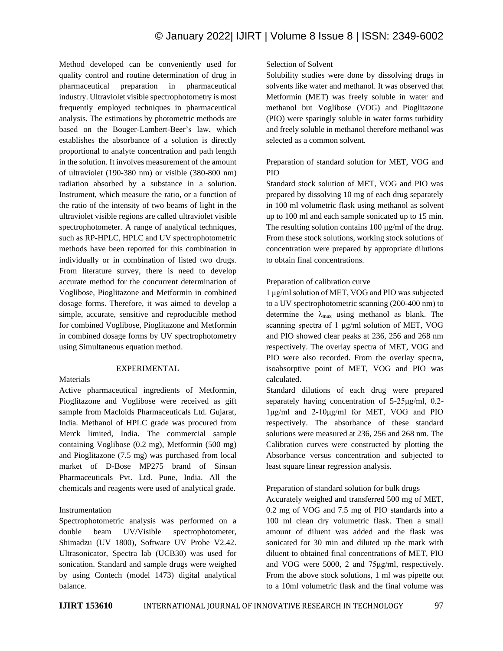Method developed can be conveniently used for quality control and routine determination of drug in pharmaceutical preparation in pharmaceutical industry. Ultraviolet visible spectrophotometry is most frequently employed techniques in pharmaceutical analysis. The estimations by photometric methods are based on the Bouger-Lambert-Beer's law, which establishes the absorbance of a solution is directly proportional to analyte concentration and path length in the solution. It involves measurement of the amount of ultraviolet (190-380 nm) or visible (380-800 nm) radiation absorbed by a substance in a solution. Instrument, which measure the ratio, or a function of the ratio of the intensity of two beams of light in the ultraviolet visible regions are called ultraviolet visible spectrophotometer. A range of analytical techniques, such as RP-HPLC, HPLC and UV spectrophotometric methods have been reported for this combination in individually or in combination of listed two drugs. From literature survey, there is need to develop accurate method for the concurrent determination of Voglibose, Pioglitazone and Metformin in combined dosage forms. Therefore, it was aimed to develop a simple, accurate, sensitive and reproducible method for combined Voglibose, Pioglitazone and Metformin in combined dosage forms by UV spectrophotometry using Simultaneous equation method.

# EXPERIMENTAL

# Materials

Active pharmaceutical ingredients of Metformin, Pioglitazone and Voglibose were received as gift sample from Macloids Pharmaceuticals Ltd. Gujarat, India. Methanol of HPLC grade was procured from Merck limited, India. The commercial sample containing Voglibose (0.2 mg), Metformin (500 mg) and Pioglitazone (7.5 mg) was purchased from local market of D-Bose MP275 brand of Sinsan Pharmaceuticals Pvt. Ltd. Pune, India. All the chemicals and reagents were used of analytical grade.

# Instrumentation

Spectrophotometric analysis was performed on a double beam UV/Visible spectrophotometer, Shimadzu (UV 1800), Software UV Probe V2.42. Ultrasonicator, Spectra lab (UCB30) was used for sonication. Standard and sample drugs were weighed by using Contech (model 1473) digital analytical balance.

# Selection of Solvent

Solubility studies were done by dissolving drugs in solvents like water and methanol. It was observed that Metformin (MET) was freely soluble in water and methanol but Voglibose (VOG) and Pioglitazone (PIO) were sparingly soluble in water forms turbidity and freely soluble in methanol therefore methanol was selected as a common solvent.

# Preparation of standard solution for MET, VOG and PIO

Standard stock solution of MET, VOG and PIO was prepared by dissolving 10 mg of each drug separately in 100 ml volumetric flask using methanol as solvent up to 100 ml and each sample sonicated up to 15 min. The resulting solution contains  $100 \mu g/ml$  of the drug. From these stock solutions, working stock solutions of concentration were prepared by appropriate dilutions to obtain final concentrations.

# Preparation of calibration curve

1 μg/ml solution of MET, VOG and PIO was subjected to a UV spectrophotometric scanning (200-400 nm) to determine the  $\lambda_{\text{max}}$  using methanol as blank. The scanning spectra of 1 μg/ml solution of MET, VOG and PIO showed clear peaks at 236, 256 and 268 nm respectively. The overlay spectra of MET, VOG and PIO were also recorded. From the overlay spectra, isoabsorptive point of MET, VOG and PIO was calculated.

Standard dilutions of each drug were prepared separately having concentration of 5-25μg/ml, 0.2- 1μg/ml and 2-10μg/ml for MET, VOG and PIO respectively. The absorbance of these standard solutions were measured at 236, 256 and 268 nm. The Calibration curves were constructed by plotting the Absorbance versus concentration and subjected to least square linear regression analysis.

# Preparation of standard solution for bulk drugs

Accurately weighed and transferred 500 mg of MET, 0.2 mg of VOG and 7.5 mg of PIO standards into a 100 ml clean dry volumetric flask. Then a small amount of diluent was added and the flask was sonicated for 30 min and diluted up the mark with diluent to obtained final concentrations of MET, PIO and VOG were 5000, 2 and 75μg/ml, respectively. From the above stock solutions, 1 ml was pipette out to a 10ml volumetric flask and the final volume was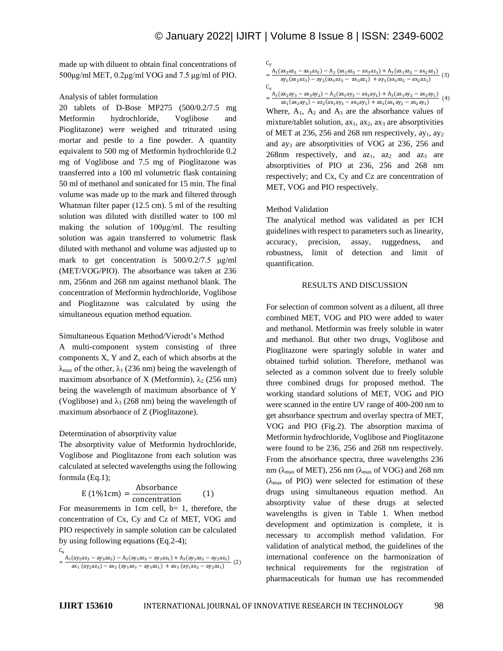made up with diluent to obtain final concentrations of 500μg/ml MET, 0.2μg/ml VOG and 7.5 μg/ml of PIO.

#### Analysis of tablet formulation

20 tablets of D-Bose MP275 (500/0.2/7.5 mg Metformin hydrochloride, Voglibose and Pioglitazone) were weighed and triturated using mortar and pestle to a fine powder. A quantity equivalent to 500 mg of Metformin hydrochloride 0.2 mg of Voglibose and 7.5 mg of Pioglitazone was transferred into a 100 ml volumetric flask containing 50 ml of methanol and sonicated for 15 min. The final volume was made up to the mark and filtered through Whatman filter paper (12.5 cm). 5 ml of the resulting solution was diluted with distilled water to 100 ml making the solution of 100μg/ml. The resulting solution was again transferred to volumetric flask diluted with methanol and volume was adjusted up to mark to get concentration is 500/0.2/7.5 μg/ml (MET/VOG/PIO). The absorbance was taken at 236 nm, 256nm and 268 nm against methanol blank. The concentration of Metformin hydrochloride, Voglibose and Pioglitazone was calculated by using the simultaneous equation method equation.

#### Simultaneous Equation Method/Vierodt's Method

A multi-component system consisting of three components X, Y and Z, each of which absorbs at the  $\lambda_{\text{max}}$  of the other,  $\lambda_1$  (236 nm) being the wavelength of maximum absorbance of X (Metformin),  $\lambda_2$  (256 nm) being the wavelength of maximum absorbance of Y (Voglibose) and  $\lambda_3$  (268 nm) being the wavelength of maximum absorbance of Z (Pioglitazone).

#### Determination of absorptivity value

The absorptivity value of Metformin hydrochloride, Voglibose and Pioglitazone from each solution was calculated at selected wavelengths using the following formula (Eq.1);

$$
E(1\%1cm) = \frac{Absorbance}{concentration}
$$
 (1)

For measurements in 1cm cell,  $b=1$ , therefore, the concentration of Cx, Cy and Cz of MET, VOG and PIO respectively in sample solution can be calculated by using following equations (Eq.2-4);

$$
C_x = \frac{A_1(ay_2az_3 - ay_3az_2) - A_2(ay_1az_3 - ay_3az_1) + A_3(ay_1az_2 - ay_2az_1)}{ax_1 (ay_2az_3) - ax_2 (ay_1az_3 - ay_3az_1) + ax_3 (ay_1az_2 - ay_2az_1)}
$$
(2)

$$
\mathsf{C}_\mathsf{y}
$$

=  $A_1(ax_2az_3 - ax_3az_2) - A_2(ax_1az_3 - ax_3az_1) + A_3(ax_1az_2 - ax_2az_1)$  $\frac{a_{2}a_{3}a_{2}a_{3}a_{3}-a_{3}a_{2}}{a_{1}(ax_{2}ax_{3})-ay_{2}(ax_{1}ax_{3}-ax_{3}ax_{1})+ay_{3}(ax_{1}ax_{2}-ax_{2}ax_{1})}$  (3)

 $C_{z}$  $=\frac{A_1(ax_2ay_3 - ax_3ay_2) - A_2(ax_1ay_3 - ax_3ay_1) + A_3(ax_1ay_2 - ax_2ay_1)}{(4)}$ 

 $az_1(ax_2ay_3) - az_2(ax_1ay_3 - ax_3ay_1) + az_3(ax_1ay_2 - ax_2ay_1)$ Where,  $A_1$ ,  $A_2$  and  $A_3$  are the absorbance values of mixture/tablet solution,  $ax_1$ ,  $ax_2$ ,  $ax_3$  are absorptivities of MET at 236, 256 and 268 nm respectively,  $a_{11}$ ,  $a_{12}$ and ay<sup>3</sup> are absorptivities of VOG at 236, 256 and 268nm respectively, and  $az_1$ ,  $az_2$  and  $az_3$  are absorptivities of PIO at 236, 256 and 268 nm respectively; and Cx, Cy and Cz are concentration of MET, VOG and PIO respectively.

#### Method Validation

The analytical method was validated as per ICH guidelines with respect to parameters such as linearity, accuracy, precision, assay, ruggedness, and robustness, limit of detection and limit of quantification.

#### RESULTS AND DISCUSSION

For selection of common solvent as a diluent, all three combined MET, VOG and PIO were added to water and methanol. Metformin was freely soluble in water and methanol. But other two drugs, Voglibose and Pioglitazone were sparingly soluble in water and obtained turbid solution. Therefore, methanol was selected as a common solvent due to freely soluble three combined drugs for proposed method. The working standard solutions of MET, VOG and PIO were scanned in the entire UV range of 400-200 nm to get absorbance spectrum and overlay spectra of MET, VOG and PIO (Fig.2). The absorption maxima of Metformin hydrochloride, Voglibose and Pioglitazone were found to be 236, 256 and 268 nm respectively. From the absorbance spectra, three wavelengths 236 nm ( $\lambda_{\text{max}}$  of MET), 256 nm ( $\lambda_{\text{max}}$  of VOG) and 268 nm  $(\lambda_{\text{max}}$  of PIO) were selected for estimation of these drugs using simultaneous equation method. An absorptivity value of these drugs at selected wavelengths is given in Table 1. When method development and optimization is complete, it is necessary to accomplish method validation. For validation of analytical method, the guidelines of the international conference on the harmonization of technical requirements for the registration of pharmaceuticals for human use has recommended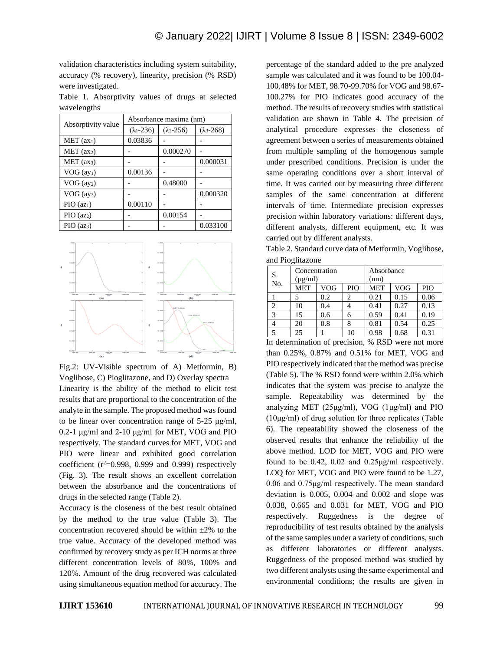validation characteristics including system suitability, accuracy (% recovery), linearity, precision (% RSD) were investigated.

Table 1. Absorptivity values of drugs at selected wavelengths

| Absorptivity value     | Absorbance maxima (nm) |                     |                     |  |  |
|------------------------|------------------------|---------------------|---------------------|--|--|
|                        | $(\lambda_1 - 236)$    | $(\lambda_2 - 256)$ | $(\lambda_3 - 268)$ |  |  |
| MET (ax <sub>1</sub> ) | 0.03836                |                     |                     |  |  |
| MET (ax <sub>2</sub> ) |                        | 0.000270            |                     |  |  |
| MET (ax3)              |                        |                     | 0.000031            |  |  |
| VOG (ay <sub>1</sub> ) | 0.00136                |                     |                     |  |  |
| VOG (ay2)              |                        | 0.48000             |                     |  |  |
| VOG (ay <sub>3</sub> ) |                        |                     | 0.000320            |  |  |
| PIO (az <sub>1</sub> ) | 0.00110                |                     |                     |  |  |
| PIO (az2)              |                        | 0.00154             |                     |  |  |
| PIO (az <sub>3</sub> ) |                        |                     | 0.033100            |  |  |



Fig.2: UV-Visible spectrum of A) Metformin, B) Voglibose, C) Pioglitazone, and D) Overlay spectra

Linearity is the ability of the method to elicit test results that are proportional to the concentration of the analyte in the sample. The proposed method was found to be linear over concentration range of 5-25 μg/ml, 0.2-1 μg/ml and 2-10 μg/ml for MET, VOG and PIO respectively. The standard curves for MET, VOG and PIO were linear and exhibited good correlation coefficient  $(r^2=0.998, 0.999, 0.999)$  respectively (Fig. 3). The result shows an excellent correlation between the absorbance and the concentrations of drugs in the selected range (Table 2).

Accuracy is the closeness of the best result obtained by the method to the true value (Table 3). The concentration recovered should be within  $\pm 2\%$  to the true value. Accuracy of the developed method was confirmed by recovery study as per ICH norms at three different concentration levels of 80%, 100% and 120%. Amount of the drug recovered was calculated using simultaneous equation method for accuracy. The

percentage of the standard added to the pre analyzed sample was calculated and it was found to be 100.04- 100.48% for MET, 98.70-99.70% for VOG and 98.67- 100.27% for PIO indicates good accuracy of the method. The results of recovery studies with statistical validation are shown in Table 4. The precision of analytical procedure expresses the closeness of agreement between a series of measurements obtained from multiple sampling of the homogenous sample under prescribed conditions. Precision is under the same operating conditions over a short interval of time. It was carried out by measuring three different samples of the same concentration at different intervals of time. Intermediate precision expresses precision within laboratory variations: different days, different analysts, different equipment, etc. It was carried out by different analysts.

Table 2. Standard curve data of Metformin, Voglibose, and Pioglitazone

| S.<br>No.                     | Concentration<br>$(\mu g/ml)$ |     |     | Absorbance<br>(nm) |      |      |  |
|-------------------------------|-------------------------------|-----|-----|--------------------|------|------|--|
|                               | <b>MET</b>                    | VOG | PIO | <b>MET</b>         | VOG  | PIO  |  |
|                               |                               | 0.2 |     | 0.21               | 0.15 | 0.06 |  |
| $\mathfrak{D}_{\mathfrak{p}}$ | 10                            | 0.4 |     | 0.41               | 0.27 | 0.13 |  |
| 3                             | 15                            | 0.6 | 6   | 0.59               | 0.41 | 0.19 |  |
|                               | 20                            | 0.8 | 8   | 0.81               | 0.54 | 0.25 |  |
|                               | 25                            |     | 10  | 0.98               | 0.68 | 0.31 |  |

In determination of precision, % RSD were not more than 0.25%, 0.87% and 0.51% for MET, VOG and PIO respectively indicated that the method was precise (Table 5). The % RSD found were within 2.0% which indicates that the system was precise to analyze the sample. Repeatability was determined by the analyzing MET (25μg/ml), VOG (1μg/ml) and PIO  $(10\mu g/ml)$  of drug solution for three replicates (Table 6). The repeatability showed the closeness of the observed results that enhance the reliability of the above method. LOD for MET, VOG and PIO were found to be 0.42, 0.02 and 0.25μg/ml respectively. LOQ for MET, VOG and PIO were found to be 1.27, 0.06 and 0.75μg/ml respectively. The mean standard deviation is 0.005, 0.004 and 0.002 and slope was 0.038, 0.665 and 0.031 for MET, VOG and PIO respectively. Ruggedness is the degree of reproducibility of test results obtained by the analysis of the same samples under a variety of conditions, such as different laboratories or different analysts. Ruggedness of the proposed method was studied by two different analysts using the same experimental and environmental conditions; the results are given in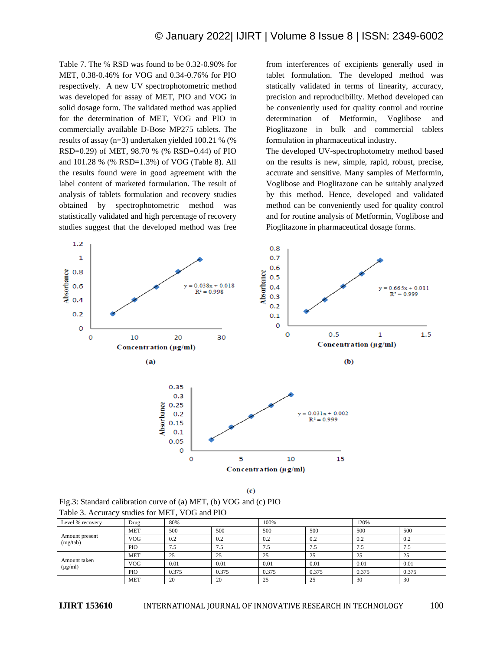Table 7. The % RSD was found to be 0.32-0.90% for MET, 0.38-0.46% for VOG and 0.34-0.76% for PIO respectively. A new UV spectrophotometric method was developed for assay of MET, PIO and VOG in solid dosage form. The validated method was applied for the determination of MET, VOG and PIO in commercially available D-Bose MP275 tablets. The results of assay (n=3) undertaken yielded 100.21 % (% RSD=0.29) of MET, 98.70 % (% RSD=0.44) of PIO and 101.28 % (% RSD=1.3%) of VOG (Table 8). All the results found were in good agreement with the label content of marketed formulation. The result of analysis of tablets formulation and recovery studies obtained by spectrophotometric method was statistically validated and high percentage of recovery studies suggest that the developed method was free

from interferences of excipients generally used in tablet formulation. The developed method was statically validated in terms of linearity, accuracy, precision and reproducibility. Method developed can be conveniently used for quality control and routine determination of Metformin, Voglibose and Pioglitazone in bulk and commercial tablets formulation in pharmaceutical industry.

The developed UV-spectrophotometry method based on the results is new, simple, rapid, robust, precise, accurate and sensitive. Many samples of Metformin, Voglibose and Pioglitazone can be suitably analyzed by this method. Hence, developed and validated method can be conveniently used for quality control and for routine analysis of Metformin, Voglibose and Pioglitazone in pharmaceutical dosage forms.



 $(c)$ 

Fig.3: Standard calibration curve of (a) MET, (b) VOG and (c) PIO Table 3. Accuracy studies for MET, VOG and PIO

| Level % recovery             | Drug       | 80%   |       | 100%  |       | 120%  |       |
|------------------------------|------------|-------|-------|-------|-------|-------|-------|
|                              | <b>MET</b> | 500   | 500   | 500   | 500   | 500   | 500   |
| Amount present<br>(mg/tab)   | <b>VOG</b> | 0.2   | 0.2   | 0.2   | 0.2   | 0.2   | 0.2   |
|                              | PIO        | 7.5   | 7.5   | 7.5   | 7.5   | 7.5   | 7.5   |
|                              | <b>MET</b> | 25    | 25    | 25    | 25    | 25    | 25    |
| Amount taken<br>$(\mu g/ml)$ | <b>VOG</b> | 0.01  | 0.01  | 0.01  | 0.01  | 0.01  | 0.01  |
|                              | PIO        | 0.375 | 0.375 | 0.375 | 0.375 | 0.375 | 0.375 |
|                              | <b>MET</b> | 20    | 20    | 25    | 25    | 30    | 30    |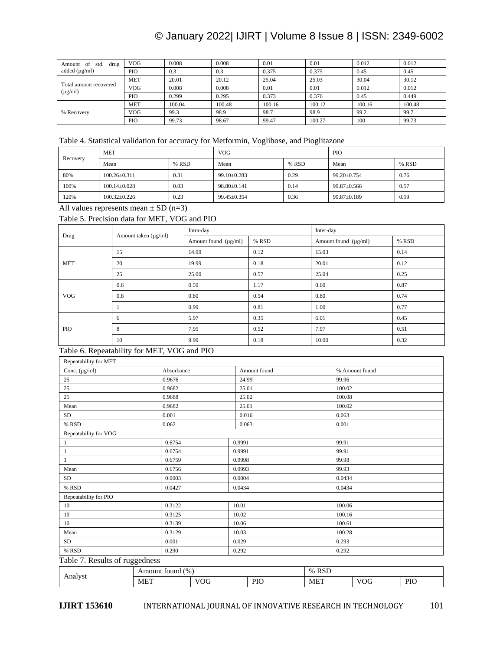# © January 2022| IJIRT | Volume 8 Issue 8 | ISSN: 2349-6002

| std.<br>Amount of<br>drug              | <b>VOG</b> | 0.008  | 0.008  | 0.01   | 0.01   | 0.012  | 0.012  |
|----------------------------------------|------------|--------|--------|--------|--------|--------|--------|
| added $(\mu g/ml)$                     | PIO        | 0.3    | 0.3    | 0.375  | 0.375  | 0.45   | 0.45   |
|                                        | <b>MET</b> | 20.01  | 20.12  | 25.04  | 25.03  | 30.04  | 30.12  |
| Total amount recovered<br>$(\mu g/ml)$ | <b>VOG</b> | 0.008  | 0.008  | 0.01   | 0.01   | 0.012  | 0.012  |
|                                        | PIO        | 0.299  | 0.295  | 0.373  | 0.376  | 0.45   | 0.449  |
| % Recovery                             | <b>MET</b> | 100.04 | 100.48 | 100.16 | 100.12 | 100.16 | 100.48 |
|                                        | <b>VOG</b> | 99.3   | 98.9   | 98.7   | 98.9   | 99.2   | 99.7   |
|                                        | PIO        | 99.73  | 98.67  | 99.47  | 100.27 | 100    | 99.73  |

# Table 4. Statistical validation for accuracy for Metformin, Voglibose, and Pioglitazone

| Recovery | <b>MET</b>         |       | <b>VOG</b>        |       | PIO         |       |
|----------|--------------------|-------|-------------------|-------|-------------|-------|
|          | Mean               | % RSD | Mean              | % RSD | Mean        | % RSD |
| 80%      | $100.26 \pm 0.311$ | 0.31  | $99.10 \pm 0.283$ | 0.29  | 99.20±0.754 | 0.76  |
| 100%     | $100.14 \pm 0.028$ | 0.03  | $98.80 \pm 0.141$ | 0.14  | 99.87±0.566 | 0.57  |
| 120%     | $100.32 \pm 0.226$ | 0.23  | $99.45 \pm 0.354$ | 0.36  | 99.87±0.189 | 0.19  |

All values represents mean  $\pm$  SD (n=3)

# Table 5. Precision data for MET, VOG and PIO

| Drug       | Amount taken $(\mu g/ml)$ | Intra-day                 |       | Inter-day                 |       |  |
|------------|---------------------------|---------------------------|-------|---------------------------|-------|--|
|            |                           | Amount found $(\mu g/ml)$ | % RSD | Amount found $(\mu g/ml)$ | % RSD |  |
|            | 15                        | 14.99                     | 0.12  | 15.03                     | 0.14  |  |
| <b>MET</b> | 20                        | 19.99                     | 0.18  | 20.01                     | 0.12  |  |
|            | 25                        | 25.00                     | 0.57  | 25.04                     | 0.25  |  |
|            | 0.6                       | 0.59                      | 1.17  | 0.60                      | 0.87  |  |
| <b>VOG</b> | 0.8                       | 0.80                      | 0.54  | 0.80                      | 0.74  |  |
|            |                           | 0.99                      | 0.81  | 1.00                      | 0.77  |  |
| PIO        | 6                         | 5.97                      | 0.35  | 6.01                      | 0.45  |  |
|            | 8                         | 7.95                      | 0.52  | 7.97                      | 0.51  |  |
|            | 10                        | 9.99                      | 0.18  | 10.00                     | 0.32  |  |

# Table 6. Repeatability for MET, VOG and PIO

| Repeatability for MET |            |              |                |
|-----------------------|------------|--------------|----------------|
| Conc. $(\mu g/ml)$    | Absorbance | Amount found | % Amount found |
| 25                    | 0.9676     | 24.99        | 99.96          |
| 25                    | 0.9682     | 25.01        | 100.02         |
| 25                    | 0.9688     | 25.02        | 100.08         |
| Mean                  | 0.9682     | 25.01        | 100.02         |
| SD                    | 0.001      | 0.016        | 0.063          |
| % RSD                 | 0.062      | 0.063        | 0.001          |
| Repeatability for VOG |            |              |                |
| $\mathbf{1}$          | 0.6754     | 0.9991       | 99.91          |
| 1                     | 0.6754     | 0.9991       | 99.91          |
|                       | 0.6759     | 0.9998       | 99.98          |
| Mean                  | 0.6756     | 0.9993       | 99.93          |
| SD                    | 0.0003     | 0.0004       | 0.0434         |
| % RSD                 | 0.0427     | 0.0434       | 0.0434         |
| Repeatability for PIO |            |              |                |
| 10                    | 0.3122     | 10.01        | 100.06         |
| 10                    | 0.3125     | 10.02        | 100.16         |
| 10                    | 0.3139     | 10.06        | 100.61         |
| Mean                  | 0.3129     | 10.03        | 100.28         |
| SD                    | 0.001      | 0.029        | 0.293          |
| % RSD                 | 0.290      | 0.292        | 0.292          |

# Table 7. Results of ruggedness

| 0117 | $\%$<br>$-111$<br>TOUIIG. |                     | $\sim$ $\sim$<br>0 <sub>6</sub><br><b>IVDF</b> |             |                      |            |
|------|---------------------------|---------------------|------------------------------------------------|-------------|----------------------|------------|
|      | $ME^{\tau}$               | $\sim$ $\sim$<br>vu | <b>PIO</b>                                     | $-$<br>ME 1 | $- - -$<br>'OC<br>__ | DIC<br>110 |